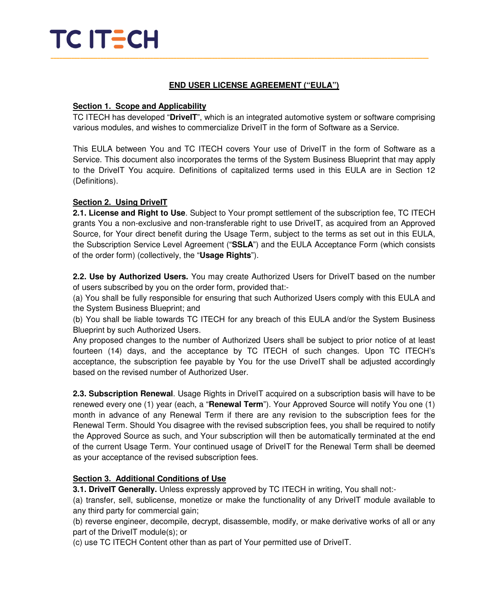## **END USER LICENSE AGREEMENT ("EULA")**

## **Section 1. Scope and Applicability**

TC ITECH has developed "**DriveIT**", which is an integrated automotive system or software comprising various modules, and wishes to commercialize DriveIT in the form of Software as a Service.

This EULA between You and TC ITECH covers Your use of DriveIT in the form of Software as a Service. This document also incorporates the terms of the System Business Blueprint that may apply to the DriveIT You acquire. Definitions of capitalized terms used in this EULA are in Section 12 (Definitions).

## **Section 2. Using DriveIT**

**2.1. License and Right to Use**. Subject to Your prompt settlement of the subscription fee, TC ITECH grants You a non-exclusive and non-transferable right to use DriveIT, as acquired from an Approved Source, for Your direct benefit during the Usage Term, subject to the terms as set out in this EULA, the Subscription Service Level Agreement ("**SSLA**") and the EULA Acceptance Form (which consists of the order form) (collectively, the "**Usage Rights**").

**2.2. Use by Authorized Users.** You may create Authorized Users for DriveIT based on the number of users subscribed by you on the order form, provided that:-

(a) You shall be fully responsible for ensuring that such Authorized Users comply with this EULA and the System Business Blueprint; and

(b) You shall be liable towards TC ITECH for any breach of this EULA and/or the System Business Blueprint by such Authorized Users.

Any proposed changes to the number of Authorized Users shall be subject to prior notice of at least fourteen (14) days, and the acceptance by TC ITECH of such changes. Upon TC ITECH's acceptance, the subscription fee payable by You for the use DriveIT shall be adjusted accordingly based on the revised number of Authorized User.

**2.3. Subscription Renewal**. Usage Rights in DriveIT acquired on a subscription basis will have to be renewed every one (1) year (each, a "**Renewal Term**"). Your Approved Source will notify You one (1) month in advance of any Renewal Term if there are any revision to the subscription fees for the Renewal Term. Should You disagree with the revised subscription fees, you shall be required to notify the Approved Source as such, and Your subscription will then be automatically terminated at the end of the current Usage Term. Your continued usage of DriveIT for the Renewal Term shall be deemed as your acceptance of the revised subscription fees.

## **Section 3. Additional Conditions of Use**

**3.1. DriveIT Generally.** Unless expressly approved by TC ITECH in writing, You shall not:-

(a) transfer, sell, sublicense, monetize or make the functionality of any DriveIT module available to any third party for commercial gain;

(b) reverse engineer, decompile, decrypt, disassemble, modify, or make derivative works of all or any part of the DriveIT module(s); or

(c) use TC ITECH Content other than as part of Your permitted use of DriveIT.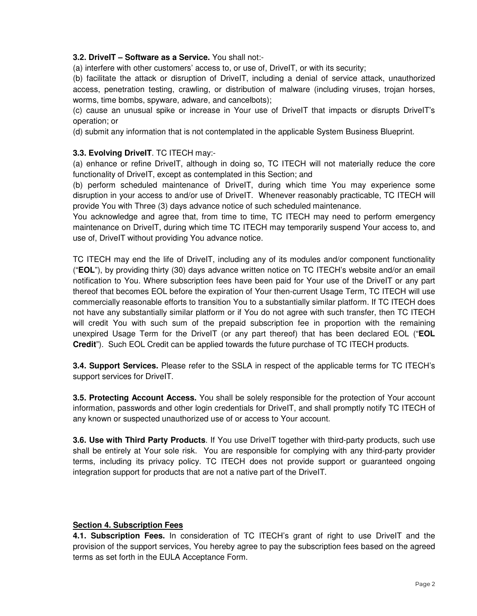### **3.2. DriveIT – Software as a Service.** You shall not:-

(a) interfere with other customers' access to, or use of, DriveIT, or with its security;

(b) facilitate the attack or disruption of DriveIT, including a denial of service attack, unauthorized access, penetration testing, crawling, or distribution of malware (including viruses, trojan horses, worms, time bombs, spyware, adware, and cancelbots);

(c) cause an unusual spike or increase in Your use of DriveIT that impacts or disrupts DriveIT's operation; or

(d) submit any information that is not contemplated in the applicable System Business Blueprint.

### **3.3. Evolving DriveIT**. TC ITECH may:-

(a) enhance or refine DriveIT, although in doing so, TC ITECH will not materially reduce the core functionality of DriveIT, except as contemplated in this Section; and

(b) perform scheduled maintenance of DriveIT, during which time You may experience some disruption in your access to and/or use of DriveIT. Whenever reasonably practicable, TC ITECH will provide You with Three (3) days advance notice of such scheduled maintenance.

You acknowledge and agree that, from time to time, TC ITECH may need to perform emergency maintenance on DriveIT, during which time TC ITECH may temporarily suspend Your access to, and use of, DriveIT without providing You advance notice.

TC ITECH may end the life of DriveIT, including any of its modules and/or component functionality ("**EOL**"), by providing thirty (30) days advance written notice on TC ITECH's website and/or an email notification to You. Where subscription fees have been paid for Your use of the DriveIT or any part thereof that becomes EOL before the expiration of Your then-current Usage Term, TC ITECH will use commercially reasonable efforts to transition You to a substantially similar platform. If TC ITECH does not have any substantially similar platform or if You do not agree with such transfer, then TC ITECH will credit You with such sum of the prepaid subscription fee in proportion with the remaining unexpired Usage Term for the DriveIT (or any part thereof) that has been declared EOL ("**EOL Credit**"). Such EOL Credit can be applied towards the future purchase of TC ITECH products.

**3.4. Support Services.** Please refer to the SSLA in respect of the applicable terms for TC ITECH's support services for DriveIT.

**3.5. Protecting Account Access.** You shall be solely responsible for the protection of Your account information, passwords and other login credentials for DriveIT, and shall promptly notify TC ITECH of any known or suspected unauthorized use of or access to Your account.

**3.6. Use with Third Party Products**. If You use DriveIT together with third-party products, such use shall be entirely at Your sole risk. You are responsible for complying with any third-party provider terms, including its privacy policy. TC ITECH does not provide support or guaranteed ongoing integration support for products that are not a native part of the DriveIT.

#### **Section 4. Subscription Fees**

**4.1. Subscription Fees.** In consideration of TC ITECH's grant of right to use DriveIT and the provision of the support services, You hereby agree to pay the subscription fees based on the agreed terms as set forth in the EULA Acceptance Form.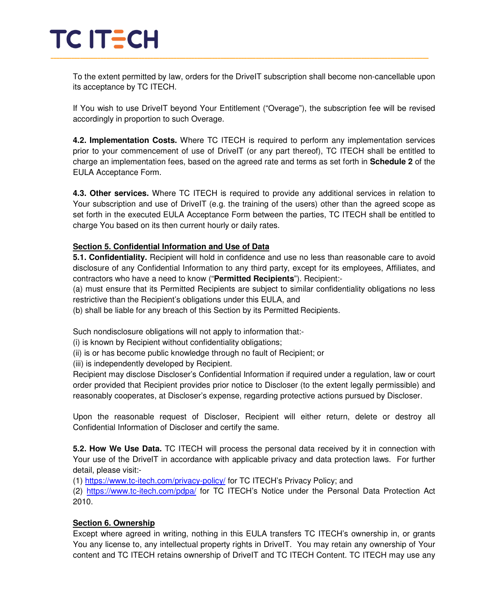To the extent permitted by law, orders for the DriveIT subscription shall become non-cancellable upon its acceptance by TC ITECH.

If You wish to use DriveIT beyond Your Entitlement ("Overage"), the subscription fee will be revised accordingly in proportion to such Overage.

**4.2. Implementation Costs.** Where TC ITECH is required to perform any implementation services prior to your commencement of use of DriveIT (or any part thereof), TC ITECH shall be entitled to charge an implementation fees, based on the agreed rate and terms as set forth in **Schedule 2** of the EULA Acceptance Form.

**4.3. Other services.** Where TC ITECH is required to provide any additional services in relation to Your subscription and use of DriveIT (e.g. the training of the users) other than the agreed scope as set forth in the executed EULA Acceptance Form between the parties, TC ITECH shall be entitled to charge You based on its then current hourly or daily rates.

## **Section 5. Confidential Information and Use of Data**

**5.1. Confidentiality.** Recipient will hold in confidence and use no less than reasonable care to avoid disclosure of any Confidential Information to any third party, except for its employees, Affiliates, and contractors who have a need to know ("**Permitted Recipients**"). Recipient:-

(a) must ensure that its Permitted Recipients are subject to similar confidentiality obligations no less restrictive than the Recipient's obligations under this EULA, and

(b) shall be liable for any breach of this Section by its Permitted Recipients.

Such nondisclosure obligations will not apply to information that:-

(i) is known by Recipient without confidentiality obligations;

(ii) is or has become public knowledge through no fault of Recipient; or

(iii) is independently developed by Recipient.

Recipient may disclose Discloser's Confidential Information if required under a regulation, law or court order provided that Recipient provides prior notice to Discloser (to the extent legally permissible) and reasonably cooperates, at Discloser's expense, regarding protective actions pursued by Discloser.

Upon the reasonable request of Discloser, Recipient will either return, delete or destroy all Confidential Information of Discloser and certify the same.

**5.2. How We Use Data.** TC ITECH will process the personal data received by it in connection with Your use of the DriveIT in accordance with applicable privacy and data protection laws. For further detail, please visit:-

(1) https://www.tc-itech.com/privacy-policy/ for TC ITECH's Privacy Policy; and

(2) https://www.tc-itech.com/pdpa/ for TC ITECH's Notice under the Personal Data Protection Act 2010.

## **Section 6. Ownership**

Except where agreed in writing, nothing in this EULA transfers TC ITECH's ownership in, or grants You any license to, any intellectual property rights in DriveIT. You may retain any ownership of Your content and TC ITECH retains ownership of DriveIT and TC ITECH Content. TC ITECH may use any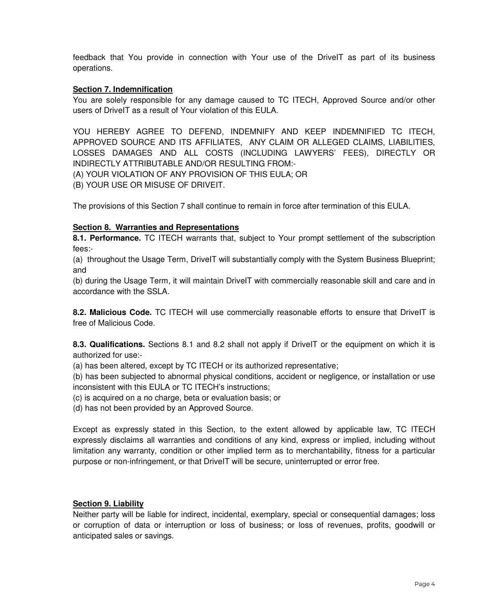feedback that You provide in connection with Your use of the DriveIT as part of its business operations.

### **Section 7. Indemnification**

You are solely responsible for any damage caused to TC ITECH, Approved Source and/or other users of DriveIT as a result of Your violation of this EULA.

YOU HEREBY AGREE TO DEFEND, INDEMNIFY AND KEEP INDEMNIFIED TC ITECH, APPROVED SOURCE AND ITS AFFILIATES, ANY CLAIM OR ALLEGED CLAIMS, LIABILITIES, LOSSES DAMAGES AND ALL COSTS (INCLUDING LAWYERS' FEES), DIRECTLY OR INDIRECTLY ATTRIBUTABLE AND/OR RESULTING FROM:-

(A) YOUR VIOLATION OF ANY PROVISION OF THIS EULA; OR

(B) YOUR USE OR MISUSE OF DRIVEIT.

The provisions of this Section 7 shall continue to remain in force after termination of this EULA.

### **Section 8. Warranties and Representations**

**8.1. Performance.** TC ITECH warrants that, subject to Your prompt settlement of the subscription fees:-

(a) throughout the Usage Term, DriveIT will substantially comply with the System Business Blueprint; and

(b) during the Usage Term, it will maintain DriveIT with commercially reasonable skill and care and in accordance with the SSLA.

**8.2. Malicious Code.** TC ITECH will use commercially reasonable efforts to ensure that DriveIT is free of Malicious Code.

**8.3. Qualifications.** Sections 8.1 and 8.2 shall not apply if DriveIT or the equipment on which it is authorized for use:-

(a) has been altered, except by TC ITECH or its authorized representative;

(b) has been subjected to abnormal physical conditions, accident or negligence, or installation or use inconsistent with this EULA or TC ITECH's instructions;

(c) is acquired on a no charge, beta or evaluation basis; or

(d) has not been provided by an Approved Source.

Except as expressly stated in this Section, to the extent allowed by applicable law, TC ITECH expressly disclaims all warranties and conditions of any kind, express or implied, including without limitation any warranty, condition or other implied term as to merchantability, fitness for a particular purpose or non-infringement, or that DriveIT will be secure, uninterrupted or error free.

#### **Section 9. Liability**

Neither party will be liable for indirect, incidental, exemplary, special or consequential damages; loss or corruption of data or interruption or loss of business; or loss of revenues, profits, goodwill or anticipated sales or savings.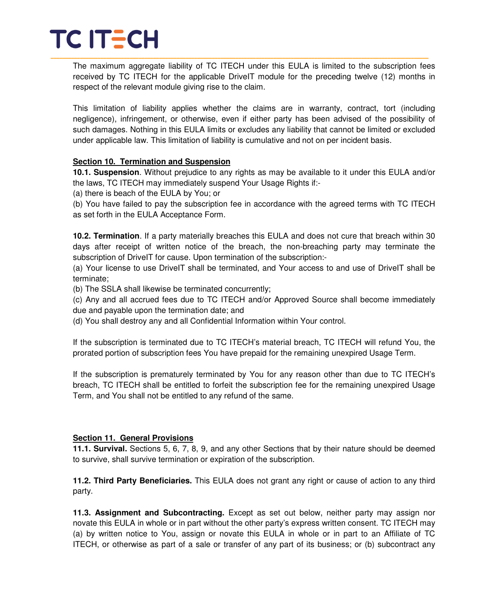The maximum aggregate liability of TC ITECH under this EULA is limited to the subscription fees received by TC ITECH for the applicable DriveIT module for the preceding twelve (12) months in respect of the relevant module giving rise to the claim.

This limitation of liability applies whether the claims are in warranty, contract, tort (including negligence), infringement, or otherwise, even if either party has been advised of the possibility of such damages. Nothing in this EULA limits or excludes any liability that cannot be limited or excluded under applicable law. This limitation of liability is cumulative and not on per incident basis.

### **Section 10. Termination and Suspension**

**10.1. Suspension**. Without prejudice to any rights as may be available to it under this EULA and/or the laws, TC ITECH may immediately suspend Your Usage Rights if:-

(a) there is beach of the EULA by You; or

(b) You have failed to pay the subscription fee in accordance with the agreed terms with TC ITECH as set forth in the EULA Acceptance Form.

**10.2. Termination**. If a party materially breaches this EULA and does not cure that breach within 30 days after receipt of written notice of the breach, the non-breaching party may terminate the subscription of DriveIT for cause. Upon termination of the subscription:-

(a) Your license to use DriveIT shall be terminated, and Your access to and use of DriveIT shall be terminate;

(b) The SSLA shall likewise be terminated concurrently;

(c) Any and all accrued fees due to TC ITECH and/or Approved Source shall become immediately due and payable upon the termination date; and

(d) You shall destroy any and all Confidential Information within Your control.

If the subscription is terminated due to TC ITECH's material breach, TC ITECH will refund You, the prorated portion of subscription fees You have prepaid for the remaining unexpired Usage Term.

If the subscription is prematurely terminated by You for any reason other than due to TC ITECH's breach, TC ITECH shall be entitled to forfeit the subscription fee for the remaining unexpired Usage Term, and You shall not be entitled to any refund of the same.

## **Section 11. General Provisions**

**11.1. Survival.** Sections 5, 6, 7, 8, 9, and any other Sections that by their nature should be deemed to survive, shall survive termination or expiration of the subscription.

**11.2. Third Party Beneficiaries.** This EULA does not grant any right or cause of action to any third party.

**11.3. Assignment and Subcontracting.** Except as set out below, neither party may assign nor novate this EULA in whole or in part without the other party's express written consent. TC ITECH may (a) by written notice to You, assign or novate this EULA in whole or in part to an Affiliate of TC ITECH, or otherwise as part of a sale or transfer of any part of its business; or (b) subcontract any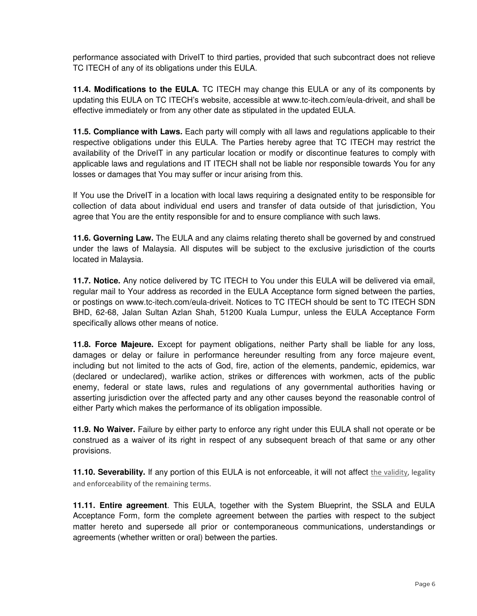performance associated with DriveIT to third parties, provided that such subcontract does not relieve TC ITECH of any of its obligations under this EULA.

**11.4. Modifications to the EULA.** TC ITECH may change this EULA or any of its components by updating this EULA on TC ITECH's website, accessible at www.tc-itech.com/eula-driveit, and shall be effective immediately or from any other date as stipulated in the updated EULA.

**11.5. Compliance with Laws.** Each party will comply with all laws and regulations applicable to their respective obligations under this EULA. The Parties hereby agree that TC ITECH may restrict the availability of the DriveIT in any particular location or modify or discontinue features to comply with applicable laws and regulations and IT ITECH shall not be liable nor responsible towards You for any losses or damages that You may suffer or incur arising from this.

If You use the DriveIT in a location with local laws requiring a designated entity to be responsible for collection of data about individual end users and transfer of data outside of that jurisdiction, You agree that You are the entity responsible for and to ensure compliance with such laws.

**11.6. Governing Law.** The EULA and any claims relating thereto shall be governed by and construed under the laws of Malaysia. All disputes will be subject to the exclusive jurisdiction of the courts located in Malaysia.

**11.7. Notice.** Any notice delivered by TC ITECH to You under this EULA will be delivered via email, regular mail to Your address as recorded in the EULA Acceptance form signed between the parties, or postings on www.tc-itech.com/eula-driveit. Notices to TC ITECH should be sent to TC ITECH SDN BHD, 62-68, Jalan Sultan Azlan Shah, 51200 Kuala Lumpur, unless the EULA Acceptance Form specifically allows other means of notice.

**11.8. Force Majeure.** Except for payment obligations, neither Party shall be liable for any loss, damages or delay or failure in performance hereunder resulting from any force majeure event, including but not limited to the acts of God, fire, action of the elements, pandemic, epidemics, war (declared or undeclared), warlike action, strikes or differences with workmen, acts of the public enemy, federal or state laws, rules and regulations of any governmental authorities having or asserting jurisdiction over the affected party and any other causes beyond the reasonable control of either Party which makes the performance of its obligation impossible.

**11.9. No Waiver.** Failure by either party to enforce any right under this EULA shall not operate or be construed as a waiver of its right in respect of any subsequent breach of that same or any other provisions.

**11.10. Severability.** If any portion of this EULA is not enforceable, it will not affect the validity, legality and enforceability of the remaining terms.

**11.11. Entire agreement**. This EULA, together with the System Blueprint, the SSLA and EULA Acceptance Form, form the complete agreement between the parties with respect to the subject matter hereto and supersede all prior or contemporaneous communications, understandings or agreements (whether written or oral) between the parties.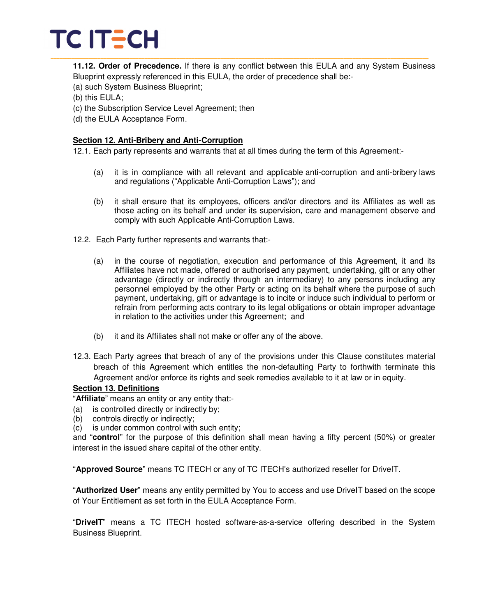**11.12. Order of Precedence.** If there is any conflict between this EULA and any System Business Blueprint expressly referenced in this EULA, the order of precedence shall be:-

- (a) such System Business Blueprint;
- (b) this EULA;
- (c) the Subscription Service Level Agreement; then
- (d) the EULA Acceptance Form.

### **Section 12. Anti-Bribery and Anti-Corruption**

12.1. Each party represents and warrants that at all times during the term of this Agreement:-

- (a) it is in compliance with all relevant and applicable anti-corruption and anti-bribery laws and regulations ("Applicable Anti-Corruption Laws"); and
- (b) it shall ensure that its employees, officers and/or directors and its Affiliates as well as those acting on its behalf and under its supervision, care and management observe and comply with such Applicable Anti-Corruption Laws.
- 12.2. Each Party further represents and warrants that:-
	- (a) in the course of negotiation, execution and performance of this Agreement, it and its Affiliates have not made, offered or authorised any payment, undertaking, gift or any other advantage (directly or indirectly through an intermediary) to any persons including any personnel employed by the other Party or acting on its behalf where the purpose of such payment, undertaking, gift or advantage is to incite or induce such individual to perform or refrain from performing acts contrary to its legal obligations or obtain improper advantage in relation to the activities under this Agreement; and
	- (b) it and its Affiliates shall not make or offer any of the above.
- 12.3. Each Party agrees that breach of any of the provisions under this Clause constitutes material breach of this Agreement which entitles the non-defaulting Party to forthwith terminate this Agreement and/or enforce its rights and seek remedies available to it at law or in equity.

## **Section 13. Definitions**

"**Affiliate**" means an entity or any entity that:-

- (a) is controlled directly or indirectly by;
- (b) controls directly or indirectly;
- (c) is under common control with such entity;

and "**control**" for the purpose of this definition shall mean having a fifty percent (50%) or greater interest in the issued share capital of the other entity.

"**Approved Source**" means TC ITECH or any of TC ITECH's authorized reseller for DriveIT.

"**Authorized User**" means any entity permitted by You to access and use DriveIT based on the scope of Your Entitlement as set forth in the EULA Acceptance Form.

"**DriveIT**" means a TC ITECH hosted software-as-a-service offering described in the System Business Blueprint.